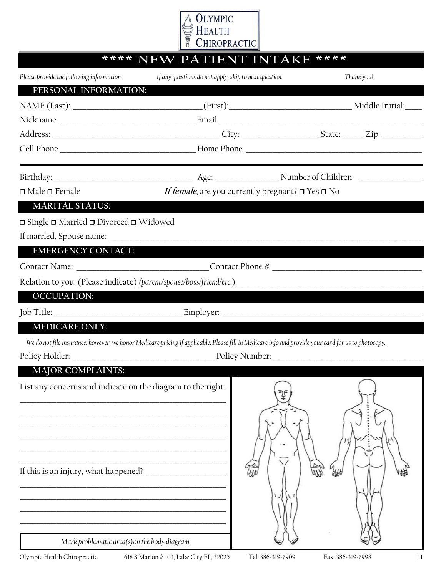

| ****<br>****<br><b>NEW PATIENT INTAKE</b>                                                                                                           |                                                       |                                                             |            |  |  |  |
|-----------------------------------------------------------------------------------------------------------------------------------------------------|-------------------------------------------------------|-------------------------------------------------------------|------------|--|--|--|
| Please provide the following information.                                                                                                           | If any questions do not apply, skip to next question. |                                                             | Thank you! |  |  |  |
| PERSONAL INFORMATION:                                                                                                                               |                                                       |                                                             |            |  |  |  |
|                                                                                                                                                     |                                                       |                                                             |            |  |  |  |
|                                                                                                                                                     |                                                       |                                                             |            |  |  |  |
|                                                                                                                                                     |                                                       |                                                             |            |  |  |  |
|                                                                                                                                                     |                                                       |                                                             |            |  |  |  |
|                                                                                                                                                     |                                                       |                                                             |            |  |  |  |
| $\Box$ Male $\Box$ Female                                                                                                                           |                                                       | If female, are you currently pregnant? $\Box$ Yes $\Box$ No |            |  |  |  |
| <b>MARITAL STATUS:</b>                                                                                                                              |                                                       |                                                             |            |  |  |  |
| $\Box$ Single $\Box$ Married $\Box$ Divorced $\Box$ Widowed                                                                                         |                                                       |                                                             |            |  |  |  |
|                                                                                                                                                     |                                                       |                                                             |            |  |  |  |
| <b>EMERGENCY CONTACT:</b>                                                                                                                           |                                                       |                                                             |            |  |  |  |
|                                                                                                                                                     |                                                       |                                                             |            |  |  |  |
|                                                                                                                                                     |                                                       |                                                             |            |  |  |  |
| <b>OCCUPATION:</b>                                                                                                                                  |                                                       |                                                             |            |  |  |  |
|                                                                                                                                                     |                                                       |                                                             |            |  |  |  |
| <b>MEDICARE ONLY:</b>                                                                                                                               |                                                       |                                                             |            |  |  |  |
| We do not file insurance; however, we honor Medicare pricing if applicable. Please fill in Medicare info and provide your card for us to photocopy. |                                                       |                                                             |            |  |  |  |
|                                                                                                                                                     |                                                       |                                                             |            |  |  |  |
| <b>MAJOR COMPLAINTS:</b>                                                                                                                            |                                                       |                                                             |            |  |  |  |
| List any concerns and indicate on the diagram to the right.<br>If this is an injury, what happened?                                                 |                                                       |                                                             |            |  |  |  |
| Mark problematic area(s) on the body diagram.                                                                                                       |                                                       |                                                             |            |  |  |  |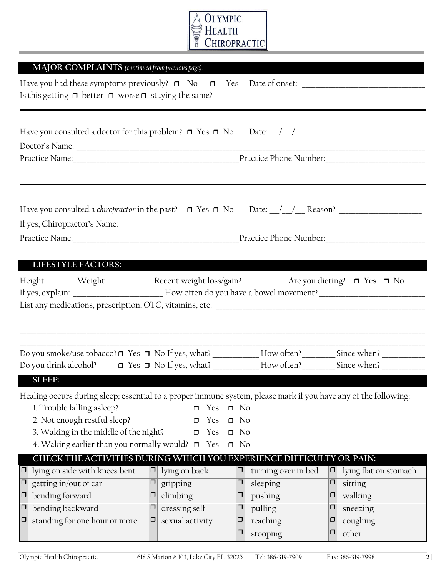

| MAJOR COMPLAINTS (continued from previous page):                                                                                                                                                                                                                                |        |                                                 |                                                  |                     |        |                       |
|---------------------------------------------------------------------------------------------------------------------------------------------------------------------------------------------------------------------------------------------------------------------------------|--------|-------------------------------------------------|--------------------------------------------------|---------------------|--------|-----------------------|
| Is this getting $\Box$ better $\Box$ worse $\Box$ staying the same?                                                                                                                                                                                                             |        |                                                 |                                                  |                     |        |                       |
| Have you consulted a doctor for this problem? $\Box$ Yes $\Box$ No Date: __/__/__                                                                                                                                                                                               |        |                                                 |                                                  |                     |        |                       |
|                                                                                                                                                                                                                                                                                 |        |                                                 |                                                  |                     |        |                       |
|                                                                                                                                                                                                                                                                                 |        |                                                 |                                                  |                     |        |                       |
| <b>LIFESTYLE FACTORS:</b>                                                                                                                                                                                                                                                       |        |                                                 |                                                  |                     |        |                       |
| Height ______Weight ____________Recent weight loss/gain? ___________ Are you dieting? □ Yes □ No<br>List any medications, prescription, OTC, vitamins, etc.                                                                                                                     |        |                                                 |                                                  |                     |        |                       |
| Do you smoke/use tobacco? □ Yes □ No If yes, what? _____________ How often? _________ Since when? ____________                                                                                                                                                                  |        |                                                 |                                                  |                     |        |                       |
|                                                                                                                                                                                                                                                                                 |        |                                                 |                                                  |                     |        |                       |
| SLEEP:                                                                                                                                                                                                                                                                          |        |                                                 |                                                  |                     |        |                       |
| Healing occurs during sleep; essential to a proper immune system, please mark if you have any of the following:<br>1. Trouble falling asleep?<br>2. Not enough restful sleep?<br>3. Waking in the middle of the night?<br>4. Waking earlier than you normally would? $\Box$ Yes |        | Yes<br>$\Box$<br>Yes<br>$\Box$<br>Yes<br>$\Box$ | $\Box$ No<br>$\Box$ No<br>$\Box$ No<br>$\Box$ No |                     |        |                       |
| CHECK THE ACTIVITIES DURING WHICH YOU EXPERIENCE DIFFICULTY OR PAIN:                                                                                                                                                                                                            |        |                                                 |                                                  |                     |        |                       |
| lying on side with knees bent<br>$\Box$                                                                                                                                                                                                                                         | $\Box$ | lying on back                                   | $\Box$                                           | turning over in bed | $\Box$ | lying flat on stomach |
| $\overline{\Box}$<br>getting in/out of car                                                                                                                                                                                                                                      | $\Box$ | gripping                                        | $\Box$                                           | sleeping            | $\Box$ | sitting               |
| $\Box$<br>bending forward                                                                                                                                                                                                                                                       | $\Box$ | climbing                                        | $\Box$                                           | pushing             | $\Box$ | walking               |
| $\boxed{\Box}$<br>bending backward                                                                                                                                                                                                                                              | $\Box$ | dressing self                                   | $\Box$                                           | pulling             | □      | sneezing              |
| $\Box$<br>standing for one hour or more                                                                                                                                                                                                                                         | $\Box$ | sexual activity                                 | $\Box$                                           | reaching            | $\Box$ | coughing              |
|                                                                                                                                                                                                                                                                                 |        |                                                 | $\Box$                                           | stooping            | $\Box$ | other                 |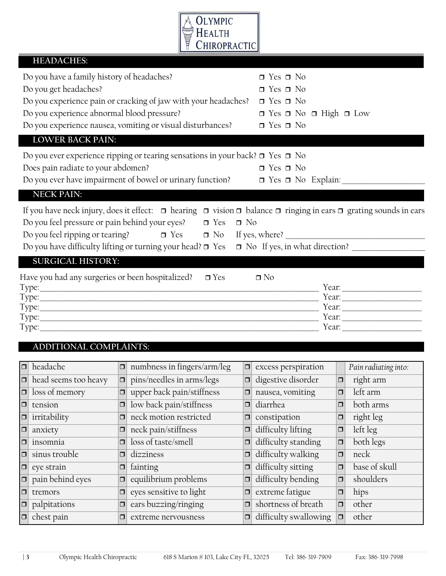

|        | <b>HEADACHES:</b>                                                                                                                            |        |                                                                                                                                                                                                                                                                 |           |                                                                                                                                             |          |                      |  |  |
|--------|----------------------------------------------------------------------------------------------------------------------------------------------|--------|-----------------------------------------------------------------------------------------------------------------------------------------------------------------------------------------------------------------------------------------------------------------|-----------|---------------------------------------------------------------------------------------------------------------------------------------------|----------|----------------------|--|--|
|        | Do you have a family history of headaches?<br>Do you get headaches?<br>Do you experience abnormal blood pressure?<br><b>LOWER BACK PAIN:</b> |        | Do you experience pain or cracking of jaw with your headaches?<br>Do you experience nausea, vomiting or visual disturbances?                                                                                                                                    |           | $\Box$ Yes $\Box$ No<br>$\Box$ Yes $\Box$ No<br>$\Box$ Yes $\Box$ No<br>$\Box$ Yes $\Box$ No $\Box$ High $\Box$ Low<br>$\Box$ Yes $\Box$ No |          |                      |  |  |
|        |                                                                                                                                              |        | Do you ever experience ripping or tearing sensations in your back? $\Box$ Yes $\Box$ No                                                                                                                                                                         |           |                                                                                                                                             |          |                      |  |  |
|        | Does pain radiate to your abdomen?                                                                                                           |        |                                                                                                                                                                                                                                                                 |           | $\Box$ Yes $\Box$ No                                                                                                                        |          |                      |  |  |
|        |                                                                                                                                              |        | Do you ever have impairment of bowel or urinary function? □ Yes □ No Explain: __________                                                                                                                                                                        |           |                                                                                                                                             |          |                      |  |  |
|        | <b>NECK PAIN:</b>                                                                                                                            |        |                                                                                                                                                                                                                                                                 |           |                                                                                                                                             |          |                      |  |  |
|        | Do you feel pressure or pain behind your eyes?                                                                                               |        | If you have neck injury, does it effect: $\Box$ hearing $\Box$ vision $\Box$ balance $\Box$ ringing in ears $\Box$ grating sounds in ears<br>$\Box$ Yes<br>Do you have difficulty lifting or turning your head? □ Yes □ No If yes, in what direction? _________ | $\Box$ No |                                                                                                                                             |          |                      |  |  |
|        | <b>SURGICAL HISTORY:</b>                                                                                                                     |        |                                                                                                                                                                                                                                                                 |           |                                                                                                                                             |          |                      |  |  |
|        | Have you had any surgeries or been hospitalized?<br>$\Box$ Yes<br>$\Box$ No<br>Year: $\qquad \qquad$                                         |        |                                                                                                                                                                                                                                                                 |           |                                                                                                                                             |          |                      |  |  |
|        | ADDITIONAL COMPLAINTS:                                                                                                                       |        |                                                                                                                                                                                                                                                                 |           |                                                                                                                                             |          |                      |  |  |
|        | $\Box$ headache                                                                                                                              |        | $ \Box $ numbness in fingers/arm/leg                                                                                                                                                                                                                            |           | $\vert$ =   excess perspiration                                                                                                             |          | Pain radiating into: |  |  |
|        |                                                                                                                                              |        | $\Box$ head seems too heavy $\Box$ pins/needles in arms/legs                                                                                                                                                                                                    |           | $\Box$ digestive disorder                                                                                                                   | $ \Box $ | right arm            |  |  |
| $\Box$ | loss of memory                                                                                                                               | $\Box$ | upper back pain/stiffness                                                                                                                                                                                                                                       | $\Box$    | nausea, vomiting                                                                                                                            | $\Box$   | left arm             |  |  |
| $\Box$ | tension                                                                                                                                      | $\Box$ | low back pain/stiffness                                                                                                                                                                                                                                         | $\Box$    | diarrhea                                                                                                                                    | $\Box$   | both arms            |  |  |
| $\Box$ | irritability                                                                                                                                 | $\Box$ | neck motion restricted                                                                                                                                                                                                                                          | $\Box$    | constipation                                                                                                                                | $\Box$   | right leg            |  |  |
| $\Box$ | anxiety                                                                                                                                      | $\Box$ | neck pain/stiffness                                                                                                                                                                                                                                             | $\Box$    | difficulty lifting                                                                                                                          | $\Box$   | left leg             |  |  |
| □      | insomnia                                                                                                                                     | $\Box$ | loss of taste/smell                                                                                                                                                                                                                                             | $\Box$    | difficulty standing                                                                                                                         | $\Box$   | both legs            |  |  |
| $\Box$ | sinus trouble                                                                                                                                | $\Box$ | dizziness                                                                                                                                                                                                                                                       | $\Box$    | difficulty walking                                                                                                                          | $\Box$   | neck                 |  |  |
| $\Box$ | eye strain                                                                                                                                   | $\Box$ | fainting                                                                                                                                                                                                                                                        | $\Box$    | difficulty sitting                                                                                                                          | $\Box$   | base of skull        |  |  |
| $\Box$ | pain behind eyes                                                                                                                             | $\Box$ | equilibrium problems                                                                                                                                                                                                                                            | $\Box$    | difficulty bending                                                                                                                          | $\Box$   | shoulders            |  |  |
| $\Box$ | tremors                                                                                                                                      | $\Box$ | eyes sensitive to light                                                                                                                                                                                                                                         | $\Box$    | extreme fatigue                                                                                                                             | $\Box$   | hips                 |  |  |
| $\Box$ | palpitations                                                                                                                                 | $\Box$ | ears buzzing/ringing                                                                                                                                                                                                                                            | $\Box$    | shortness of breath                                                                                                                         | $\Box$   | other                |  |  |
| $\Box$ | chest pain                                                                                                                                   | $\Box$ | extreme nervousness                                                                                                                                                                                                                                             | $\Box$    | difficulty swallowing                                                                                                                       | $\Box$   | other                |  |  |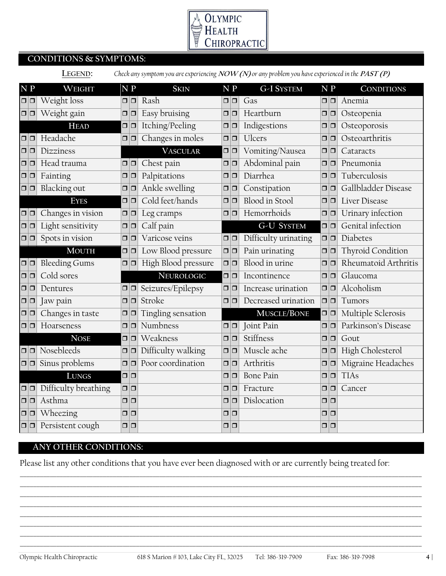

# **CONDITIONS & SYMPTOMS:**

|               | Check any symptom you are experiencing $NOW(N)$ or any problem you have experienced in the $PAST(P)$<br>LEGEND: |                              |        |                               |                     |  |               |                       |               |                         |
|---------------|-----------------------------------------------------------------------------------------------------------------|------------------------------|--------|-------------------------------|---------------------|--|---------------|-----------------------|---------------|-------------------------|
| $N$ $P$       |                                                                                                                 | WEIGHT                       |        | $\overline{N}$ $\overline{P}$ | <b>SKIN</b>         |  | N P           | G-I SYSTEM            | $N$ $P$       | <b>CONDITIONS</b>       |
| $\Box$        |                                                                                                                 | Weight loss                  |        | $\Box$ $\Box$                 | Rash                |  | $\Box$ $\Box$ | Gas                   | $\Box$ $\Box$ | Anemia                  |
| $\Box$ $\Box$ |                                                                                                                 | Weight gain                  |        | $\Box$                        | Easy bruising       |  | $\Box$ $\Box$ | Heartburn             | $\Box$        | Osteopenia              |
|               |                                                                                                                 | <b>HEAD</b>                  |        | $\Box$                        | Itching/Peeling     |  | $\Box$        | Indigestions          | $\Box$ $\Box$ | Osteoporosis            |
| $\Box$        |                                                                                                                 | Headache                     | ο.     | 0                             | Changes in moles    |  | $\Box$ $\Box$ | <b>Ulcers</b>         | $\Box$        | Osteoarthritis          |
| $\Box$        |                                                                                                                 | Dizziness                    |        |                               | <b>VASCULAR</b>     |  | $\Box$ $\Box$ | Vomiting/Nausea       | $\Box$ $\Box$ | Cataracts               |
|               | 0 I O                                                                                                           | Head trauma                  |        | $\Box$ $\Box$                 | Chest pain          |  | $\Box$ $\Box$ | Abdominal pain        | $\Box$        | Pneumonia               |
| $\Box$        |                                                                                                                 | Fainting                     |        | $\Box$                        | Palpitations        |  | $\Box$        | Diarrhea              | $\Box$        | Tuberculosis            |
| $\Box$ $\Box$ |                                                                                                                 | Blacking out                 |        | $\Box$ $\Box$                 | Ankle swelling      |  | $\Box$        | Constipation          | $\Box$        | Gallbladder Disease     |
|               |                                                                                                                 | <b>EYES</b>                  |        | $\Box$                        | Cold feet/hands     |  | $\Box$ $\Box$ | <b>Blood</b> in Stool | $\Box$ $\Box$ | Liver Disease           |
| $\Box$ $\Box$ |                                                                                                                 | Changes in vision            |        | $\Box$ $\Box$                 | Leg cramps          |  | $\Box$ $\Box$ | Hemorrhoids           | $\Box$        | Urinary infection       |
| $\Box$ $\Box$ |                                                                                                                 | Light sensitivity            | $\Box$ | $\Box$                        | Calf pain           |  |               | <b>G-U SYSTEM</b>     | $\Box$ $\Box$ | Genital infection       |
| $\Box$ $\Box$ |                                                                                                                 | Spots in vision              | $\Box$ | $\Box$                        | Varicose veins      |  | $\Box$ $\Box$ | Difficulty urinating  | $\Box$        | Diabetes                |
|               |                                                                                                                 | <b>MOUTH</b>                 |        | $\Box$ $\Box$                 | Low Blood pressure  |  | $\Box$ $\Box$ | Pain urinating        | $\Box$        | Thyroid Condition       |
| $\Box$ $\Box$ |                                                                                                                 | <b>Bleeding Gums</b>         |        | $\Box$                        | High Blood pressure |  | $\Box$ $\Box$ | Blood in urine        | $\Box$        | Rheumatoid Arthritis    |
| $\Box$ $\Box$ |                                                                                                                 | Cold sores                   |        |                               | NEUROLOGIC          |  | $\Box$        | Incontinence          | $\Box$        | Glaucoma                |
| $\Box$        |                                                                                                                 | Dentures                     |        | $\Box$ $\Box$                 | Seizures/Epilepsy   |  | $\Box$        | Increase urination    | $\Box$        | Alcoholism              |
| $\Box$ $\Box$ |                                                                                                                 | Jaw pain                     |        | $\Box$                        | Stroke              |  | $\Box$ $\Box$ | Decreased urination   | $\Box$ $\Box$ | Tumors                  |
| $\Box$ $\Box$ |                                                                                                                 | Changes in taste             | $\Box$ | 10                            | Tingling sensation  |  |               | MUSCLE/BONE           | $\Box$        | Multiple Sclerosis      |
| $\Box$        |                                                                                                                 | Hoarseness                   |        | $\Box$ $\Box$                 | Numbness            |  | $\Box$ $\Box$ | Joint Pain            | $\Box$ $\Box$ | Parkinson's Disease     |
|               |                                                                                                                 | <b>NOSE</b>                  |        | $\Box$                        | Weakness            |  | $\Box$ $\Box$ | Stiffness             | $\Box$        | Gout                    |
|               |                                                                                                                 | $\boxed{\square}$ Nosebleeds |        | $\Box$ $\Box$                 | Difficulty walking  |  | $\Box$ $\Box$ | Muscle ache           | $\Box$ $\Box$ | <b>High Cholesterol</b> |
|               |                                                                                                                 | $\Box$ Sinus problems        |        | $\Box$ $\Box$                 | Poor coordination   |  | $\Box$ $\Box$ | Arthritis             | $\Box$ $\Box$ | Migraine Headaches      |
|               |                                                                                                                 | <b>LUNGS</b>                 |        | $\Box$                        |                     |  | $\Box$ $\Box$ | <b>Bone Pain</b>      | $\Box$        | <b>TIAs</b>             |
|               | $\Box$                                                                                                          | Difficulty breathing         |        | $\Box$ $\Box$                 |                     |  | $\Box$ $\Box$ | Fracture              | $\Box$ $\Box$ | Cancer                  |
| $\Box$ $\Box$ |                                                                                                                 | Asthma                       |        | $\Box$                        |                     |  | $\Box$ $\Box$ | Dislocation           | $\Box$        |                         |
| $\Box$ $\Box$ |                                                                                                                 | Wheezing                     | $\Box$ | $\Box$                        |                     |  | $\Box$        |                       | $\Box$        |                         |
|               | $\Box   \Box$                                                                                                   | Persistent cough             |        | $\Box$ $\Box$                 |                     |  | $\Box$        |                       | $\Box$        |                         |

## **ANY OTHER CONDITIONS:**

Please list any other conditions that you have ever been diagnosed with or are currently being treated for:

\_\_\_\_\_\_\_\_\_\_\_\_\_\_\_\_\_\_\_\_\_\_\_\_\_\_\_\_\_\_\_\_\_\_\_\_\_\_\_\_\_\_\_\_\_\_\_\_\_\_\_\_\_\_\_\_\_\_\_\_\_\_\_\_\_\_\_\_\_\_\_\_\_\_\_\_\_\_\_\_\_\_\_\_\_\_\_\_\_\_\_\_\_\_\_\_\_\_\_\_\_\_\_\_\_\_\_\_\_\_\_\_\_\_\_\_\_\_\_\_\_ \_\_\_\_\_\_\_\_\_\_\_\_\_\_\_\_\_\_\_\_\_\_\_\_\_\_\_\_\_\_\_\_\_\_\_\_\_\_\_\_\_\_\_\_\_\_\_\_\_\_\_\_\_\_\_\_\_\_\_\_\_\_\_\_\_\_\_\_\_\_\_\_\_\_\_\_\_\_\_\_\_\_\_\_\_\_\_\_\_\_\_\_\_\_\_\_\_\_\_\_\_\_\_\_\_\_\_\_\_\_\_\_\_\_\_\_\_\_\_\_\_ \_\_\_\_\_\_\_\_\_\_\_\_\_\_\_\_\_\_\_\_\_\_\_\_\_\_\_\_\_\_\_\_\_\_\_\_\_\_\_\_\_\_\_\_\_\_\_\_\_\_\_\_\_\_\_\_\_\_\_\_\_\_\_\_\_\_\_\_\_\_\_\_\_\_\_\_\_\_\_\_\_\_\_\_\_\_\_\_\_\_\_\_\_\_\_\_\_\_\_\_\_\_\_\_\_\_\_\_\_\_\_\_\_\_\_\_\_\_\_\_\_ \_\_\_\_\_\_\_\_\_\_\_\_\_\_\_\_\_\_\_\_\_\_\_\_\_\_\_\_\_\_\_\_\_\_\_\_\_\_\_\_\_\_\_\_\_\_\_\_\_\_\_\_\_\_\_\_\_\_\_\_\_\_\_\_\_\_\_\_\_\_\_\_\_\_\_\_\_\_\_\_\_\_\_\_\_\_\_\_\_\_\_\_\_\_\_\_\_\_\_\_\_\_\_\_\_\_\_\_\_\_\_\_\_\_\_\_\_\_\_\_\_ \_\_\_\_\_\_\_\_\_\_\_\_\_\_\_\_\_\_\_\_\_\_\_\_\_\_\_\_\_\_\_\_\_\_\_\_\_\_\_\_\_\_\_\_\_\_\_\_\_\_\_\_\_\_\_\_\_\_\_\_\_\_\_\_\_\_\_\_\_\_\_\_\_\_\_\_\_\_\_\_\_\_\_\_\_\_\_\_\_\_\_\_\_\_\_\_\_\_\_\_\_\_\_\_\_\_\_\_\_\_\_\_\_\_\_\_\_\_\_\_\_ \_\_\_\_\_\_\_\_\_\_\_\_\_\_\_\_\_\_\_\_\_\_\_\_\_\_\_\_\_\_\_\_\_\_\_\_\_\_\_\_\_\_\_\_\_\_\_\_\_\_\_\_\_\_\_\_\_\_\_\_\_\_\_\_\_\_\_\_\_\_\_\_\_\_\_\_\_\_\_\_\_\_\_\_\_\_\_\_\_\_\_\_\_\_\_\_\_\_\_\_\_\_\_\_\_\_\_\_\_\_\_\_\_\_\_\_\_\_\_\_\_ \_\_\_\_\_\_\_\_\_\_\_\_\_\_\_\_\_\_\_\_\_\_\_\_\_\_\_\_\_\_\_\_\_\_\_\_\_\_\_\_\_\_\_\_\_\_\_\_\_\_\_\_\_\_\_\_\_\_\_\_\_\_\_\_\_\_\_\_\_\_\_\_\_\_\_\_\_\_\_\_\_\_\_\_\_\_\_\_\_\_\_\_\_\_\_\_\_\_\_\_\_\_\_\_\_\_\_\_\_\_\_\_\_\_\_\_\_\_\_\_\_ \_\_\_\_\_\_\_\_\_\_\_\_\_\_\_\_\_\_\_\_\_\_\_\_\_\_\_\_\_\_\_\_\_\_\_\_\_\_\_\_\_\_\_\_\_\_\_\_\_\_\_\_\_\_\_\_\_\_\_\_\_\_\_\_\_\_\_\_\_\_\_\_\_\_\_\_\_\_\_\_\_\_\_\_\_\_\_\_\_\_\_\_\_\_\_\_\_\_\_\_\_\_\_\_\_\_\_\_\_\_\_\_\_\_\_\_\_\_\_\_\_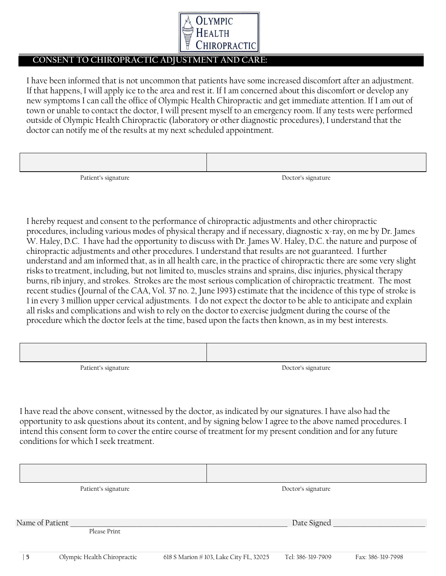

### **CONSENT TO CHIROPRACTIC ADJUSTMENT AND CARE:**

I have been informed that is not uncommon that patients have some increased discomfort after an adjustment. If that happens, I will apply ice to the area and rest it. If I am concerned about this discomfort or develop any new symptoms I can call the office of Olympic Health Chiropractic and get immediate attention. If I am out of town or unable to contact the doctor, I will present myself to an emergency room. If any tests were performed outside of Olympic Health Chiropractic (laboratory or other diagnostic procedures), I understand that the doctor can notify me of the results at my next scheduled appointment.

| Patient's signature | Doctor's signature |
|---------------------|--------------------|

I hereby request and consent to the performance of chiropractic adjustments and other chiropractic procedures, including various modes of physical therapy and if necessary, diagnostic x-ray, on me by Dr. James W. Haley, D.C. I have had the opportunity to discuss with Dr. James W. Haley, D.C. the nature and purpose of chiropractic adjustments and other procedures. I understand that results are not guaranteed. I further understand and am informed that, as in all health care, in the practice of chiropractic there are some very slight risks to treatment, including, but not limited to, muscles strains and sprains, disc injuries, physical therapy burns, rib injury, and strokes. Strokes are the most serious complication of chiropractic treatment. The most recent studies (Journal of the CAA, Vol. 37 no. 2, June 1993) estimate that the incidence of this type of stroke is 1 in every 3 million upper cervical adjustments. I do not expect the doctor to be able to anticipate and explain all risks and complications and wish to rely on the doctor to exercise judgment during the course of the procedure which the doctor feels at the time, based upon the facts then known, as in my best interests.

| Patient's signature | Doctor's signature |
|---------------------|--------------------|

I have read the above consent, witnessed by the doctor, as indicated by our signatures. I have also had the opportunity to ask questions about its content, and by signing below I agree to the above named procedures. I intend this consent form to cover the entire course of treatment for my present condition and for any future conditions for which I seek treatment.

|                 | Patient's signature         |                                        | Doctor's signature |                   |
|-----------------|-----------------------------|----------------------------------------|--------------------|-------------------|
|                 |                             |                                        |                    |                   |
|                 |                             |                                        |                    |                   |
| Name of Patient |                             |                                        | Date Signed        |                   |
|                 | Please Print                |                                        |                    |                   |
|                 |                             |                                        |                    |                   |
| 5               | Olympic Health Chiropractic | 618 S Marion #103, Lake City FL, 32025 | Tel: 386-319-7909  | Fax: 386-319-7998 |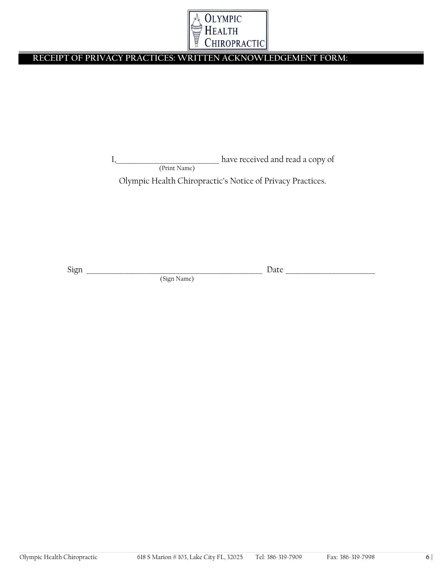

## **RECEIPT OF PRIVACY PRACTICES: WRITTEN ACKNOWLEDGEMENT FORM:**

I, \_\_\_\_\_\_\_\_\_\_\_\_\_\_\_\_\_\_\_\_\_\_\_\_\_\_\_\_\_\_\_\_\_ have received and read a copy of (Print Name)

Olympic Health Chiropractic's Notice of Privacy Practices.

Sign \_\_\_\_\_\_\_\_\_\_\_\_\_\_\_\_\_\_\_\_\_\_\_\_\_\_\_\_\_\_\_\_\_\_\_\_\_\_\_\_\_\_\_\_\_\_\_\_\_\_\_\_\_ Date \_\_\_\_\_\_\_\_\_\_\_\_\_\_\_\_\_\_\_\_\_\_\_\_\_\_\_

(Sign Name)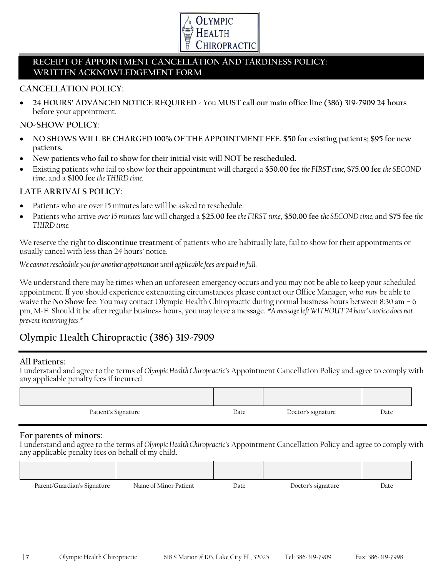

## **RECEIPT OF APPOINTMENT CANCELLATION AND TARDINESS POLICY: WRITTEN ACKNOWLEDGEMENT FORM**

### **CANCELLATION POLICY:**

 **24 HOURS' ADVANCED NOTICE REQUIRED -** You **MUST call our main office line (386) 319-7909 24 hours before** your appointment.

#### **NO-SHOW POLICY:**

- **NO SHOWS WILL BE CHARGED 100% OF THE APPOINTMENT FEE. \$50 for existing patients; \$95 for new patients.**
- **New patients who fail to show for their initial visit will NOT be rescheduled.**
- Existing patients who fail to show for their appointment will charged a **\$50.00 fee** *the FIRST time,* **\$75.00 fee** *the SECOND time*, and a \$100 fee *the* THIRD *time*.

### **LATE ARRIVALS POLICY:**

- Patients who are over 15 minutes late will be asked to reschedule.
- Patients who arrive *over 15 minutes late* will charged a **\$25.00 fee** *the FIRST time*, **\$50.00 fee** *the SECOND time,* and **\$75 fee** *the THIRD time.*

We reserve the right t**o discontinue treatment** of patients who are habitually late, fail to show for their appointments or usually cancel with less than 24 hours' notice.

*We cannot reschedule you for another appointment until applicable fees are paid in full.*

We understand there may be times when an unforeseen emergency occurs and you may not be able to keep your scheduled appointment. If you should experience extenuating circumstances please contact our Office Manager, who *may* be able to waive the **No Show fee**. You may contact Olympic Health Chiropractic during normal business hours between 8:30 am – 6 pm, M-F. Should it be after regular business hours, you may leave a message. *\*A message left WITHOUT 24 hour's notice does not prevent incurring fees.\**

## **Olympic Health Chiropractic (386) 319-7909**

### **All Patients:**

I understand and agree to the terms of *Olympic Health Chiropractic's* Appointment Cancellation Policy and agree to comply with any applicable penalty fees if incurred.

| Patient's Signature | Date | Doctor's signature | Date |
|---------------------|------|--------------------|------|

### **For parents of minors:**

I understand and agree to the terms of *Olympic Health Chiropractic's* Appointment Cancellation Policy and agree to comply with any applicable penalty fees on behalf of my child.

| Parent/Guardian's Signature | Name of Minor Patient | Date | Doctor's signature | Date |
|-----------------------------|-----------------------|------|--------------------|------|